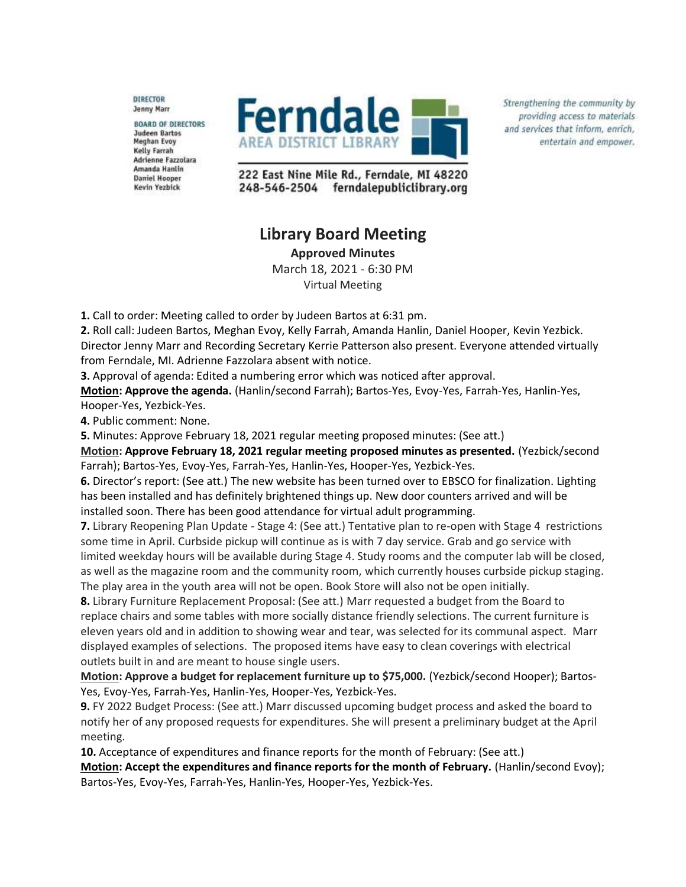**DIRECTOR Jenny Marr** 

**BOARD OF DIRECTORS Judeen Bartos Meghan Evoy** Kelly Farrah Adrienne Fazzolara Amanda Hanlin **Daniel Hooper** Kevin Yezbick



Strengthening the community by providing access to materials and services that inform, enrich, entertain and empower.

222 East Nine Mile Rd., Ferndale, MI 48220 248-546-2504 ferndalepubliclibrary.org

## **Library Board Meeting**

**Approved Minutes**

March 18, 2021 - 6:30 PM Virtual Meeting

**1.** Call to order: Meeting called to order by Judeen Bartos at 6:31 pm.

**2.** Roll call: Judeen Bartos, Meghan Evoy, Kelly Farrah, Amanda Hanlin, Daniel Hooper, Kevin Yezbick. Director Jenny Marr and Recording Secretary Kerrie Patterson also present. Everyone attended virtually from Ferndale, MI. Adrienne Fazzolara absent with notice.

**3.** Approval of agenda: Edited a numbering error which was noticed after approval.

**Motion: Approve the agenda.** (Hanlin/second Farrah); Bartos-Yes, Evoy-Yes, Farrah-Yes, Hanlin-Yes, Hooper-Yes, Yezbick-Yes.

**4.** Public comment: None.

**5.** Minutes: Approve February 18, 2021 regular meeting proposed minutes: (See att.)

**Motion: Approve February 18, 2021 regular meeting proposed minutes as presented.** (Yezbick/second Farrah); Bartos-Yes, Evoy-Yes, Farrah-Yes, Hanlin-Yes, Hooper-Yes, Yezbick-Yes.

**6.** Director's report: (See att.) The new website has been turned over to EBSCO for finalization. Lighting has been installed and has definitely brightened things up. New door counters arrived and will be installed soon. There has been good attendance for virtual adult programming.

**7.** Library Reopening Plan Update - Stage 4: (See att.) Tentative plan to re-open with Stage 4 restrictions some time in April. Curbside pickup will continue as is with 7 day service. Grab and go service with limited weekday hours will be available during Stage 4. Study rooms and the computer lab will be closed, as well as the magazine room and the community room, which currently houses curbside pickup staging. The play area in the youth area will not be open. Book Store will also not be open initially.

**8.** Library Furniture Replacement Proposal: (See att.) Marr requested a budget from the Board to replace chairs and some tables with more socially distance friendly selections. The current furniture is eleven years old and in addition to showing wear and tear, was selected for its communal aspect. Marr displayed examples of selections. The proposed items have easy to clean coverings with electrical outlets built in and are meant to house single users.

**Motion: Approve a budget for replacement furniture up to \$75,000.** (Yezbick/second Hooper); Bartos-Yes, Evoy-Yes, Farrah-Yes, Hanlin-Yes, Hooper-Yes, Yezbick-Yes.

**9.** FY 2022 Budget Process: (See att.) Marr discussed upcoming budget process and asked the board to notify her of any proposed requests for expenditures. She will present a preliminary budget at the April meeting.

**10.** Acceptance of expenditures and finance reports for the month of February: (See att.)

**Motion: Accept the expenditures and finance reports for the month of February.** (Hanlin/second Evoy); Bartos-Yes, Evoy-Yes, Farrah-Yes, Hanlin-Yes, Hooper-Yes, Yezbick-Yes.